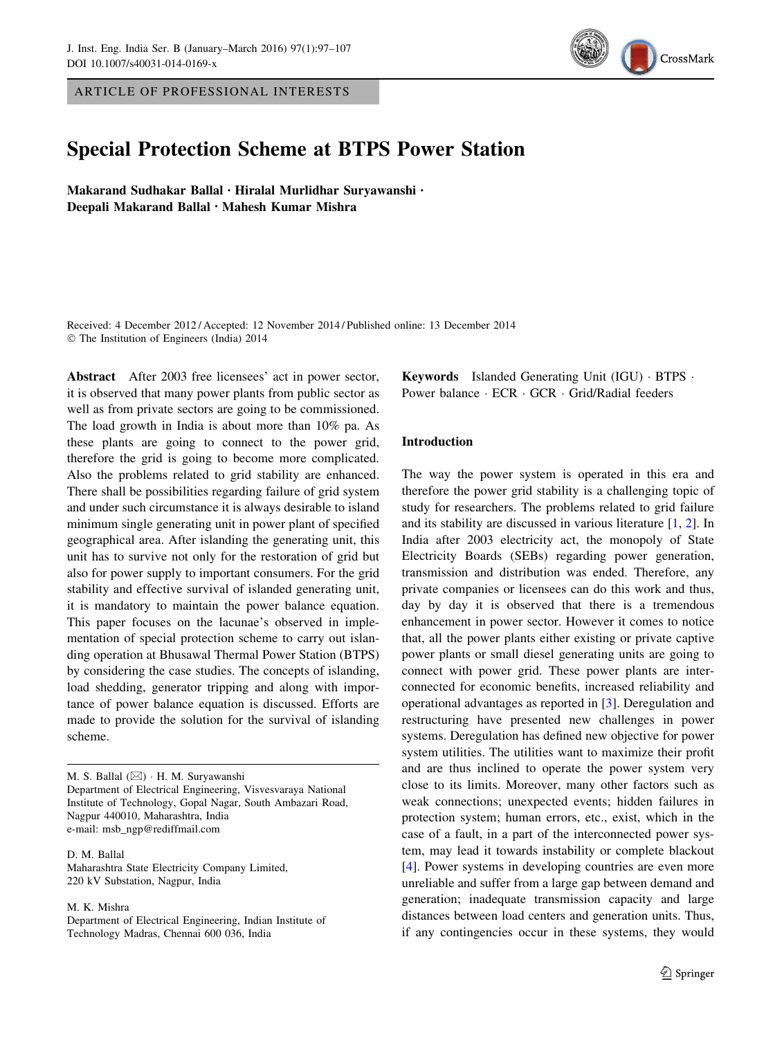ARTICLE OF PROFESSIONAL INTERESTS



# Special Protection Scheme at BTPS Power Station

Makarand Sudhakar Ballal • Hiralal Murlidhar Suryawanshi • Deepali Makarand Ballal • Mahesh Kumar Mishra

Received: 4 December 2012 / Accepted: 12 November 2014 / Published online: 13 December 2014 © The Institution of Engineers (India) 2014

Abstract After 2003 free licensees' act in power sector, it is observed that many power plants from public sector as well as from private sectors are going to be commissioned. The load growth in India is about more than 10% pa. As these plants are going to connect to the power grid, therefore the grid is going to become more complicated. Also the problems related to grid stability are enhanced. There shall be possibilities regarding failure of grid system and under such circumstance it is always desirable to island minimum single generating unit in power plant of specified geographical area. After islanding the generating unit, this unit has to survive not only for the restoration of grid but also for power supply to important consumers. For the grid stability and effective survival of islanded generating unit, it is mandatory to maintain the power balance equation. This paper focuses on the lacunae's observed in implementation of special protection scheme to carry out islanding operation at Bhusawal Thermal Power Station (BTPS) by considering the case studies. The concepts of islanding, load shedding, generator tripping and along with importance of power balance equation is discussed. Efforts are made to provide the solution for the survival of islanding scheme.

M. S. Ballal (⊠) · H. M. Suryawanshi Department of Electrical Engineering, Visvesvaraya National Institute of Technology, Gopal Nagar, South Ambazari Road, Nagpur 440010, Maharashtra, India e-mail: msb\_ngp@rediffmail.com

D. M. Ballal Maharashtra State Electricity Company Limited, 220 kV Substation, Nagpur, India

M. K. Mishra

Department of Electrical Engineering, Indian Institute of Technology Madras, Chennai 600 036, India

Keywords Islanded Generating Unit (IGU) - BTPS - Power balance · ECR · GCR · Grid/Radial feeders

#### Introduction

The way the power system is operated in this era and therefore the power grid stability is a challenging topic of study for researchers. The problems related to grid failure and its stability are discussed in various literature [\[1](#page-9-0), [2](#page-10-0)]. In India after 2003 electricity act, the monopoly of State Electricity Boards (SEBs) regarding power generation, transmission and distribution was ended. Therefore, any private companies or licensees can do this work and thus, day by day it is observed that there is a tremendous enhancement in power sector. However it comes to notice that, all the power plants either existing or private captive power plants or small diesel generating units are going to connect with power grid. These power plants are interconnected for economic benefits, increased reliability and operational advantages as reported in [[3\]](#page-10-0). Deregulation and restructuring have presented new challenges in power systems. Deregulation has defined new objective for power system utilities. The utilities want to maximize their profit and are thus inclined to operate the power system very close to its limits. Moreover, many other factors such as weak connections; unexpected events; hidden failures in protection system; human errors, etc., exist, which in the case of a fault, in a part of the interconnected power system, may lead it towards instability or complete blackout [\[4](#page-10-0)]. Power systems in developing countries are even more unreliable and suffer from a large gap between demand and generation; inadequate transmission capacity and large distances between load centers and generation units. Thus, if any contingencies occur in these systems, they would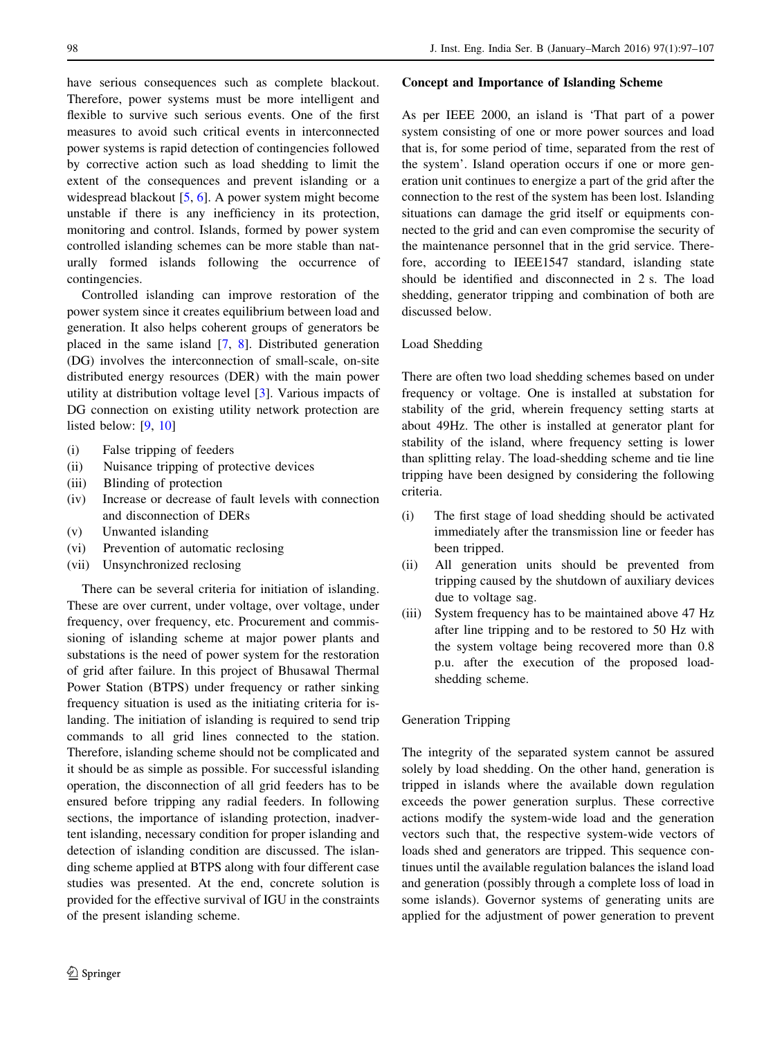have serious consequences such as complete blackout. Therefore, power systems must be more intelligent and flexible to survive such serious events. One of the first measures to avoid such critical events in interconnected power systems is rapid detection of contingencies followed by corrective action such as load shedding to limit the extent of the consequences and prevent islanding or a widespread blackout [[5,](#page-10-0) [6](#page-10-0)]. A power system might become unstable if there is any inefficiency in its protection, monitoring and control. Islands, formed by power system controlled islanding schemes can be more stable than naturally formed islands following the occurrence of contingencies.

Controlled islanding can improve restoration of the power system since it creates equilibrium between load and generation. It also helps coherent groups of generators be placed in the same island [\[7](#page-10-0), [8](#page-10-0)]. Distributed generation (DG) involves the interconnection of small-scale, on-site distributed energy resources (DER) with the main power utility at distribution voltage level [\[3](#page-10-0)]. Various impacts of DG connection on existing utility network protection are listed below: [[9,](#page-10-0) [10\]](#page-10-0)

- (i) False tripping of feeders
- (ii) Nuisance tripping of protective devices
- (iii) Blinding of protection
- (iv) Increase or decrease of fault levels with connection and disconnection of DERs
- (v) Unwanted islanding
- (vi) Prevention of automatic reclosing
- (vii) Unsynchronized reclosing

There can be several criteria for initiation of islanding. These are over current, under voltage, over voltage, under frequency, over frequency, etc. Procurement and commissioning of islanding scheme at major power plants and substations is the need of power system for the restoration of grid after failure. In this project of Bhusawal Thermal Power Station (BTPS) under frequency or rather sinking frequency situation is used as the initiating criteria for islanding. The initiation of islanding is required to send trip commands to all grid lines connected to the station. Therefore, islanding scheme should not be complicated and it should be as simple as possible. For successful islanding operation, the disconnection of all grid feeders has to be ensured before tripping any radial feeders. In following sections, the importance of islanding protection, inadvertent islanding, necessary condition for proper islanding and detection of islanding condition are discussed. The islanding scheme applied at BTPS along with four different case studies was presented. At the end, concrete solution is provided for the effective survival of IGU in the constraints of the present islanding scheme.

#### Concept and Importance of Islanding Scheme

As per IEEE 2000, an island is 'That part of a power system consisting of one or more power sources and load that is, for some period of time, separated from the rest of the system'. Island operation occurs if one or more generation unit continues to energize a part of the grid after the connection to the rest of the system has been lost. Islanding situations can damage the grid itself or equipments connected to the grid and can even compromise the security of the maintenance personnel that in the grid service. Therefore, according to IEEE1547 standard, islanding state should be identified and disconnected in 2 s. The load shedding, generator tripping and combination of both are discussed below.

### Load Shedding

There are often two load shedding schemes based on under frequency or voltage. One is installed at substation for stability of the grid, wherein frequency setting starts at about 49Hz. The other is installed at generator plant for stability of the island, where frequency setting is lower than splitting relay. The load-shedding scheme and tie line tripping have been designed by considering the following criteria.

- (i) The first stage of load shedding should be activated immediately after the transmission line or feeder has been tripped.
- (ii) All generation units should be prevented from tripping caused by the shutdown of auxiliary devices due to voltage sag.
- (iii) System frequency has to be maintained above 47 Hz after line tripping and to be restored to 50 Hz with the system voltage being recovered more than 0.8 p.u. after the execution of the proposed loadshedding scheme.

#### Generation Tripping

The integrity of the separated system cannot be assured solely by load shedding. On the other hand, generation is tripped in islands where the available down regulation exceeds the power generation surplus. These corrective actions modify the system-wide load and the generation vectors such that, the respective system-wide vectors of loads shed and generators are tripped. This sequence continues until the available regulation balances the island load and generation (possibly through a complete loss of load in some islands). Governor systems of generating units are applied for the adjustment of power generation to prevent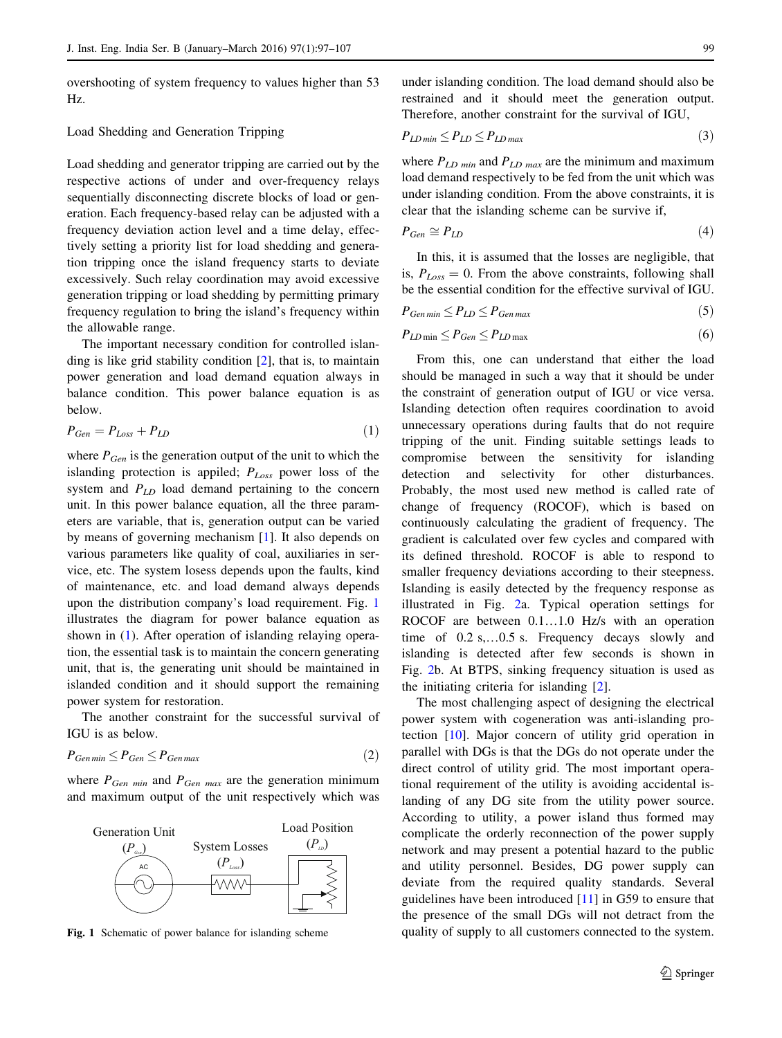<span id="page-2-0"></span>overshooting of system frequency to values higher than 53 Hz.

## Load Shedding and Generation Tripping

Load shedding and generator tripping are carried out by the respective actions of under and over-frequency relays sequentially disconnecting discrete blocks of load or generation. Each frequency-based relay can be adjusted with a frequency deviation action level and a time delay, effectively setting a priority list for load shedding and generation tripping once the island frequency starts to deviate excessively. Such relay coordination may avoid excessive generation tripping or load shedding by permitting primary frequency regulation to bring the island's frequency within the allowable range.

The important necessary condition for controlled islanding is like grid stability condition [[2\]](#page-10-0), that is, to maintain power generation and load demand equation always in balance condition. This power balance equation is as below.

$$
P_{Gen} = P_{Loss} + P_{LD} \tag{1}
$$

where  $P_{Gen}$  is the generation output of the unit to which the islanding protection is appiled;  $P_{Loss}$  power loss of the system and  $P_{LD}$  load demand pertaining to the concern unit. In this power balance equation, all the three parameters are variable, that is, generation output can be varied by means of governing mechanism [\[1](#page-9-0)]. It also depends on various parameters like quality of coal, auxiliaries in service, etc. The system losess depends upon the faults, kind of maintenance, etc. and load demand always depends upon the distribution company's load requirement. Fig. 1 illustrates the diagram for power balance equation as shown in (1). After operation of islanding relaying operation, the essential task is to maintain the concern generating unit, that is, the generating unit should be maintained in islanded condition and it should support the remaining power system for restoration.

The another constraint for the successful survival of IGU is as below.

$$
P_{Gen\ min} \le P_{Gen} \le P_{Gen\ max} \tag{2}
$$

where  $P_{Gen min}$  and  $P_{Gen max}$  are the generation minimum and maximum output of the unit respectively which was



Fig. 1 Schematic of power balance for islanding scheme

under islanding condition. The load demand should also be restrained and it should meet the generation output. Therefore, another constraint for the survival of IGU,

$$
P_{LD\min} \le P_{LD} \le P_{LD\max} \tag{3}
$$

where  $P_{LD min}$  and  $P_{LD max}$  are the minimum and maximum load demand respectively to be fed from the unit which was under islanding condition. From the above constraints, it is clear that the islanding scheme can be survive if,

$$
P_{Gen} \cong P_{LD} \tag{4}
$$

In this, it is assumed that the losses are negligible, that is,  $P_{Loss} = 0$ . From the above constraints, following shall be the essential condition for the effective survival of IGU.

$$
P_{Gen\ min} \le P_{LD} \le P_{Gen\ max} \tag{5}
$$

$$
P_{LD\min} \le P_{Gen} \le P_{LD\max} \tag{6}
$$

From this, one can understand that either the load should be managed in such a way that it should be under the constraint of generation output of IGU or vice versa. Islanding detection often requires coordination to avoid unnecessary operations during faults that do not require tripping of the unit. Finding suitable settings leads to compromise between the sensitivity for islanding detection and selectivity for other disturbances. Probably, the most used new method is called rate of change of frequency (ROCOF), which is based on continuously calculating the gradient of frequency. The gradient is calculated over few cycles and compared with its defined threshold. ROCOF is able to respond to smaller frequency deviations according to their steepness. Islanding is easily detected by the frequency response as illustrated in Fig. [2](#page-3-0)a. Typical operation settings for ROCOF are between 0.1…1.0 Hz/s with an operation time of 0.2 s,…0.5 s. Frequency decays slowly and islanding is detected after few seconds is shown in Fig. [2b](#page-3-0). At BTPS, sinking frequency situation is used as the initiating criteria for islanding [[2\]](#page-10-0).

The most challenging aspect of designing the electrical power system with cogeneration was anti-islanding protection [\[10\]](#page-10-0). Major concern of utility grid operation in parallel with DGs is that the DGs do not operate under the direct control of utility grid. The most important operational requirement of the utility is avoiding accidental islanding of any DG site from the utility power source. According to utility, a power island thus formed may complicate the orderly reconnection of the power supply network and may present a potential hazard to the public and utility personnel. Besides, DG power supply can deviate from the required quality standards. Several guidelines have been introduced [[11\]](#page-10-0) in G59 to ensure that the presence of the small DGs will not detract from the quality of supply to all customers connected to the system.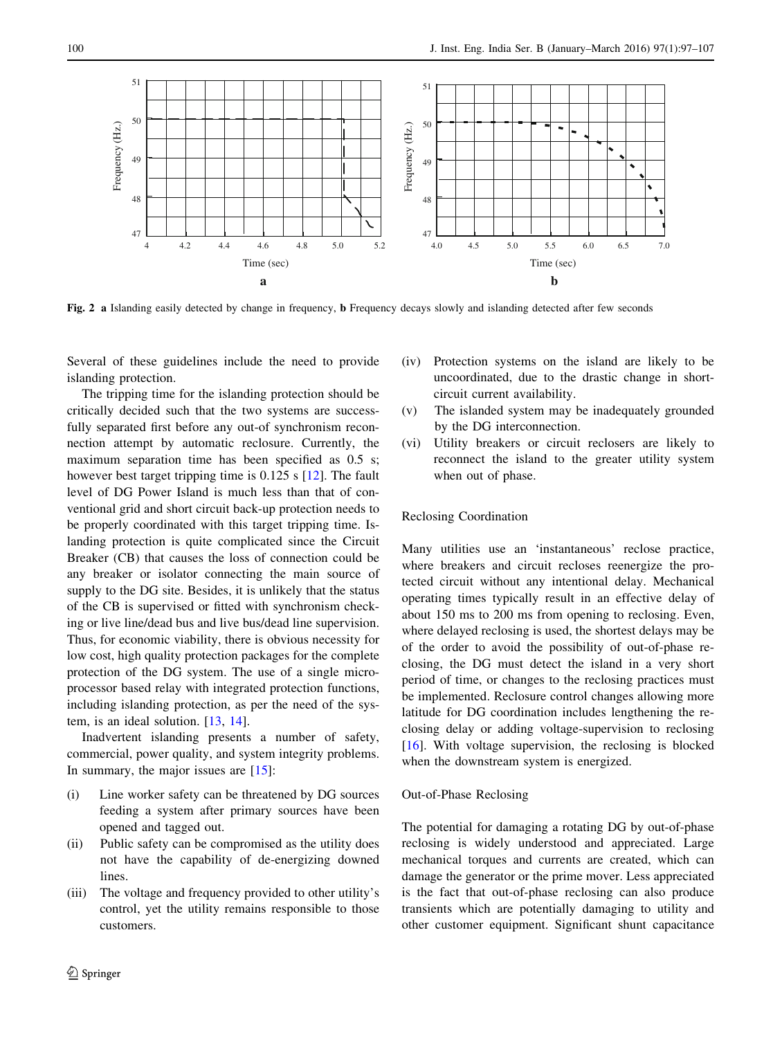<span id="page-3-0"></span>

Fig. 2 a Islanding easily detected by change in frequency, b Frequency decays slowly and islanding detected after few seconds

Several of these guidelines include the need to provide islanding protection.

The tripping time for the islanding protection should be critically decided such that the two systems are successfully separated first before any out-of synchronism reconnection attempt by automatic reclosure. Currently, the maximum separation time has been specified as 0.5 s; however best target tripping time is 0.[12](#page-10-0)5 s [12]. The fault level of DG Power Island is much less than that of conventional grid and short circuit back-up protection needs to be properly coordinated with this target tripping time. Islanding protection is quite complicated since the Circuit Breaker (CB) that causes the loss of connection could be any breaker or isolator connecting the main source of supply to the DG site. Besides, it is unlikely that the status of the CB is supervised or fitted with synchronism checking or live line/dead bus and live bus/dead line supervision. Thus, for economic viability, there is obvious necessity for low cost, high quality protection packages for the complete protection of the DG system. The use of a single microprocessor based relay with integrated protection functions, including islanding protection, as per the need of the system, is an ideal solution. [[13,](#page-10-0) [14\]](#page-10-0).

Inadvertent islanding presents a number of safety, commercial, power quality, and system integrity problems. In summary, the major issues are [\[15](#page-10-0)]:

- (i) Line worker safety can be threatened by DG sources feeding a system after primary sources have been opened and tagged out.
- (ii) Public safety can be compromised as the utility does not have the capability of de-energizing downed lines.
- (iii) The voltage and frequency provided to other utility's control, yet the utility remains responsible to those customers.
- (iv) Protection systems on the island are likely to be uncoordinated, due to the drastic change in shortcircuit current availability.
- (v) The islanded system may be inadequately grounded by the DG interconnection.
- (vi) Utility breakers or circuit reclosers are likely to reconnect the island to the greater utility system when out of phase.

# Reclosing Coordination

Many utilities use an 'instantaneous' reclose practice, where breakers and circuit recloses reenergize the protected circuit without any intentional delay. Mechanical operating times typically result in an effective delay of about 150 ms to 200 ms from opening to reclosing. Even, where delayed reclosing is used, the shortest delays may be of the order to avoid the possibility of out-of-phase reclosing, the DG must detect the island in a very short period of time, or changes to the reclosing practices must be implemented. Reclosure control changes allowing more latitude for DG coordination includes lengthening the reclosing delay or adding voltage-supervision to reclosing  $[16]$  $[16]$ . With voltage supervision, the reclosing is blocked when the downstream system is energized.

#### Out-of-Phase Reclosing

The potential for damaging a rotating DG by out-of-phase reclosing is widely understood and appreciated. Large mechanical torques and currents are created, which can damage the generator or the prime mover. Less appreciated is the fact that out-of-phase reclosing can also produce transients which are potentially damaging to utility and other customer equipment. Significant shunt capacitance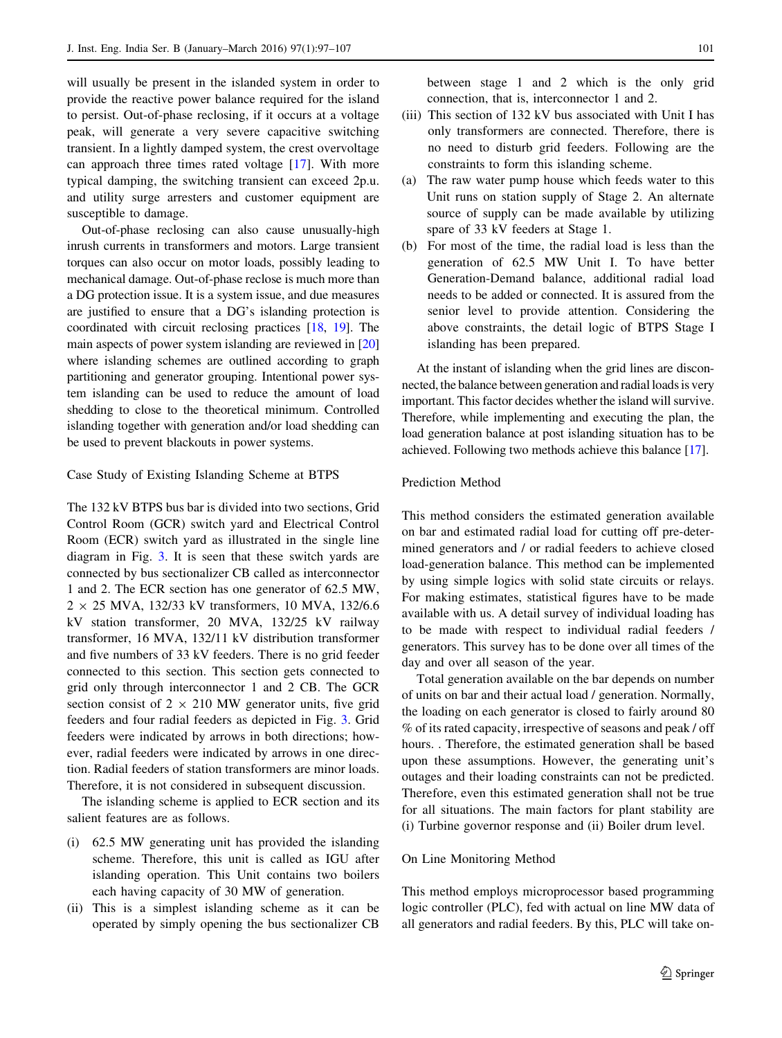will usually be present in the islanded system in order to provide the reactive power balance required for the island to persist. Out-of-phase reclosing, if it occurs at a voltage peak, will generate a very severe capacitive switching transient. In a lightly damped system, the crest overvoltage can approach three times rated voltage [[17\]](#page-10-0). With more typical damping, the switching transient can exceed 2p.u. and utility surge arresters and customer equipment are susceptible to damage.

Out-of-phase reclosing can also cause unusually-high inrush currents in transformers and motors. Large transient torques can also occur on motor loads, possibly leading to mechanical damage. Out-of-phase reclose is much more than a DG protection issue. It is a system issue, and due measures are justified to ensure that a DG's islanding protection is coordinated with circuit reclosing practices [[18,](#page-10-0) [19](#page-10-0)]. The main aspects of power system islanding are reviewed in [\[20\]](#page-10-0) where islanding schemes are outlined according to graph partitioning and generator grouping. Intentional power system islanding can be used to reduce the amount of load shedding to close to the theoretical minimum. Controlled islanding together with generation and/or load shedding can be used to prevent blackouts in power systems.

## Case Study of Existing Islanding Scheme at BTPS

The 132 kV BTPS bus bar is divided into two sections, Grid Control Room (GCR) switch yard and Electrical Control Room (ECR) switch yard as illustrated in the single line diagram in Fig. [3.](#page-5-0) It is seen that these switch yards are connected by bus sectionalizer CB called as interconnector 1 and 2. The ECR section has one generator of 62.5 MW,  $2 \times 25$  MVA, 132/33 kV transformers, 10 MVA, 132/6.6 kV station transformer, 20 MVA, 132/25 kV railway transformer, 16 MVA, 132/11 kV distribution transformer and five numbers of 33 kV feeders. There is no grid feeder connected to this section. This section gets connected to grid only through interconnector 1 and 2 CB. The GCR section consist of  $2 \times 210$  MW generator units, five grid feeders and four radial feeders as depicted in Fig. [3.](#page-5-0) Grid feeders were indicated by arrows in both directions; however, radial feeders were indicated by arrows in one direction. Radial feeders of station transformers are minor loads. Therefore, it is not considered in subsequent discussion.

The islanding scheme is applied to ECR section and its salient features are as follows.

- (i) 62.5 MW generating unit has provided the islanding scheme. Therefore, this unit is called as IGU after islanding operation. This Unit contains two boilers each having capacity of 30 MW of generation.
- (ii) This is a simplest islanding scheme as it can be operated by simply opening the bus sectionalizer CB

between stage 1 and 2 which is the only grid connection, that is, interconnector 1 and 2.

- (iii) This section of 132 kV bus associated with Unit I has only transformers are connected. Therefore, there is no need to disturb grid feeders. Following are the constraints to form this islanding scheme.
- (a) The raw water pump house which feeds water to this Unit runs on station supply of Stage 2. An alternate source of supply can be made available by utilizing spare of 33 kV feeders at Stage 1.
- (b) For most of the time, the radial load is less than the generation of 62.5 MW Unit I. To have better Generation-Demand balance, additional radial load needs to be added or connected. It is assured from the senior level to provide attention. Considering the above constraints, the detail logic of BTPS Stage I islanding has been prepared.

At the instant of islanding when the grid lines are disconnected, the balance between generation and radial loads is very important. This factor decides whether the island will survive. Therefore, while implementing and executing the plan, the load generation balance at post islanding situation has to be achieved. Following two methods achieve this balance [[17](#page-10-0)].

## Prediction Method

This method considers the estimated generation available on bar and estimated radial load for cutting off pre-determined generators and / or radial feeders to achieve closed load-generation balance. This method can be implemented by using simple logics with solid state circuits or relays. For making estimates, statistical figures have to be made available with us. A detail survey of individual loading has to be made with respect to individual radial feeders / generators. This survey has to be done over all times of the day and over all season of the year.

Total generation available on the bar depends on number of units on bar and their actual load / generation. Normally, the loading on each generator is closed to fairly around 80 % of its rated capacity, irrespective of seasons and peak / off hours. . Therefore, the estimated generation shall be based upon these assumptions. However, the generating unit's outages and their loading constraints can not be predicted. Therefore, even this estimated generation shall not be true for all situations. The main factors for plant stability are (i) Turbine governor response and (ii) Boiler drum level.

## On Line Monitoring Method

This method employs microprocessor based programming logic controller (PLC), fed with actual on line MW data of all generators and radial feeders. By this, PLC will take on-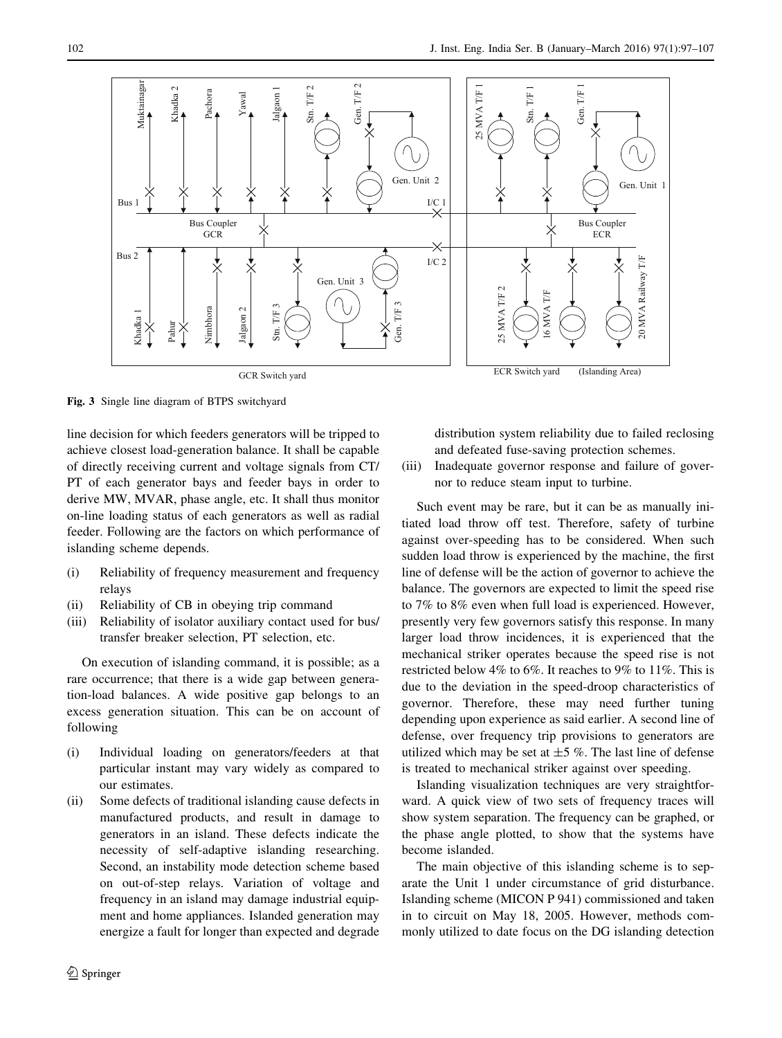<span id="page-5-0"></span>

Fig. 3 Single line diagram of BTPS switchyard

line decision for which feeders generators will be tripped to achieve closest load-generation balance. It shall be capable of directly receiving current and voltage signals from CT/ PT of each generator bays and feeder bays in order to derive MW, MVAR, phase angle, etc. It shall thus monitor on-line loading status of each generators as well as radial feeder. Following are the factors on which performance of islanding scheme depends.

- (i) Reliability of frequency measurement and frequency relays
- (ii) Reliability of CB in obeying trip command
- (iii) Reliability of isolator auxiliary contact used for bus/ transfer breaker selection, PT selection, etc.

On execution of islanding command, it is possible; as a rare occurrence; that there is a wide gap between generation-load balances. A wide positive gap belongs to an excess generation situation. This can be on account of following

- (i) Individual loading on generators/feeders at that particular instant may vary widely as compared to our estimates.
- (ii) Some defects of traditional islanding cause defects in manufactured products, and result in damage to generators in an island. These defects indicate the necessity of self-adaptive islanding researching. Second, an instability mode detection scheme based on out-of-step relays. Variation of voltage and frequency in an island may damage industrial equipment and home appliances. Islanded generation may energize a fault for longer than expected and degrade

distribution system reliability due to failed reclosing and defeated fuse-saving protection schemes.

(iii) Inadequate governor response and failure of governor to reduce steam input to turbine.

Such event may be rare, but it can be as manually initiated load throw off test. Therefore, safety of turbine against over-speeding has to be considered. When such sudden load throw is experienced by the machine, the first line of defense will be the action of governor to achieve the balance. The governors are expected to limit the speed rise to 7% to 8% even when full load is experienced. However, presently very few governors satisfy this response. In many larger load throw incidences, it is experienced that the mechanical striker operates because the speed rise is not restricted below 4% to 6%. It reaches to 9% to 11%. This is due to the deviation in the speed-droop characteristics of governor. Therefore, these may need further tuning depending upon experience as said earlier. A second line of defense, over frequency trip provisions to generators are utilized which may be set at  $\pm 5$  %. The last line of defense is treated to mechanical striker against over speeding.

Islanding visualization techniques are very straightforward. A quick view of two sets of frequency traces will show system separation. The frequency can be graphed, or the phase angle plotted, to show that the systems have become islanded.

The main objective of this islanding scheme is to separate the Unit 1 under circumstance of grid disturbance. Islanding scheme (MICON P 941) commissioned and taken in to circuit on May 18, 2005. However, methods commonly utilized to date focus on the DG islanding detection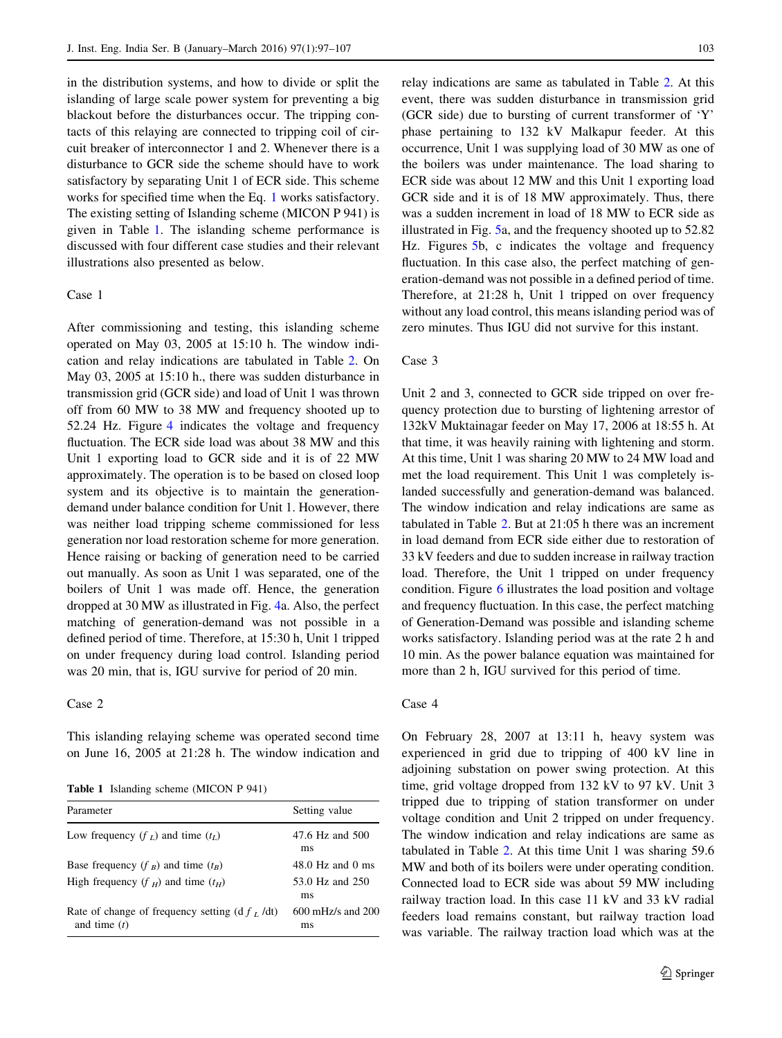in the distribution systems, and how to divide or split the islanding of large scale power system for preventing a big blackout before the disturbances occur. The tripping contacts of this relaying are connected to tripping coil of circuit breaker of interconnector 1 and 2. Whenever there is a disturbance to GCR side the scheme should have to work satisfactory by separating Unit 1 of ECR side. This scheme works for specified time when the Eq. [1](#page-2-0) works satisfactory. The existing setting of Islanding scheme (MICON P 941) is given in Table 1. The islanding scheme performance is discussed with four different case studies and their relevant illustrations also presented as below.

# Case 1

After commissioning and testing, this islanding scheme operated on May 03, 2005 at 15:10 h. The window indication and relay indications are tabulated in Table [2](#page-7-0). On May 03, 2005 at 15:10 h., there was sudden disturbance in transmission grid (GCR side) and load of Unit 1 was thrown off from 60 MW to 38 MW and frequency shooted up to 52.24 Hz. Figure [4](#page-7-0) indicates the voltage and frequency fluctuation. The ECR side load was about 38 MW and this Unit 1 exporting load to GCR side and it is of 22 MW approximately. The operation is to be based on closed loop system and its objective is to maintain the generationdemand under balance condition for Unit 1. However, there was neither load tripping scheme commissioned for less generation nor load restoration scheme for more generation. Hence raising or backing of generation need to be carried out manually. As soon as Unit 1 was separated, one of the boilers of Unit 1 was made off. Hence, the generation dropped at 30 MW as illustrated in Fig. [4](#page-7-0)a. Also, the perfect matching of generation-demand was not possible in a defined period of time. Therefore, at 15:30 h, Unit 1 tripped on under frequency during load control. Islanding period was 20 min, that is, IGU survive for period of 20 min.

### Case 2

This islanding relaying scheme was operated second time on June 16, 2005 at 21:28 h. The window indication and

Table 1 Islanding scheme (MICON P 941)

| Parameter                                                           | Setting value               |
|---------------------------------------------------------------------|-----------------------------|
| Low frequency $(f_l)$ and time $(t_l)$                              | 47.6 Hz and 500<br>ms       |
| Base frequency $(f_R)$ and time $(t_R)$                             | $48.0$ Hz and 0 ms          |
| High frequency $(f_H)$ and time $(t_H)$                             | 53.0 Hz and 250<br>ms       |
| Rate of change of frequency setting (d $f_L/dt$ )<br>and time $(t)$ | $600$ mHz/s and $200$<br>ms |

relay indications are same as tabulated in Table [2.](#page-7-0) At this event, there was sudden disturbance in transmission grid (GCR side) due to bursting of current transformer of 'Y' phase pertaining to 132 kV Malkapur feeder. At this occurrence, Unit 1 was supplying load of 30 MW as one of the boilers was under maintenance. The load sharing to ECR side was about 12 MW and this Unit 1 exporting load GCR side and it is of 18 MW approximately. Thus, there was a sudden increment in load of 18 MW to ECR side as illustrated in Fig. [5](#page-7-0)a, and the frequency shooted up to 52.82 Hz. Figures [5](#page-7-0)b, c indicates the voltage and frequency fluctuation. In this case also, the perfect matching of generation-demand was not possible in a defined period of time. Therefore, at 21:28 h, Unit 1 tripped on over frequency without any load control, this means islanding period was of zero minutes. Thus IGU did not survive for this instant.

#### Case 3

Unit 2 and 3, connected to GCR side tripped on over frequency protection due to bursting of lightening arrestor of 132kV Muktainagar feeder on May 17, 2006 at 18:55 h. At that time, it was heavily raining with lightening and storm. At this time, Unit 1 was sharing 20 MW to 24 MW load and met the load requirement. This Unit 1 was completely islanded successfully and generation-demand was balanced. The window indication and relay indications are same as tabulated in Table [2.](#page-7-0) But at 21:05 h there was an increment in load demand from ECR side either due to restoration of 33 kV feeders and due to sudden increase in railway traction load. Therefore, the Unit 1 tripped on under frequency condition. Figure [6](#page-7-0) illustrates the load position and voltage and frequency fluctuation. In this case, the perfect matching of Generation-Demand was possible and islanding scheme works satisfactory. Islanding period was at the rate 2 h and 10 min. As the power balance equation was maintained for more than 2 h, IGU survived for this period of time.

### Case 4

On February 28, 2007 at 13:11 h, heavy system was experienced in grid due to tripping of 400 kV line in adjoining substation on power swing protection. At this time, grid voltage dropped from 132 kV to 97 kV. Unit 3 tripped due to tripping of station transformer on under voltage condition and Unit 2 tripped on under frequency. The window indication and relay indications are same as tabulated in Table [2](#page-7-0). At this time Unit 1 was sharing 59.6 MW and both of its boilers were under operating condition. Connected load to ECR side was about 59 MW including railway traction load. In this case 11 kV and 33 kV radial feeders load remains constant, but railway traction load was variable. The railway traction load which was at the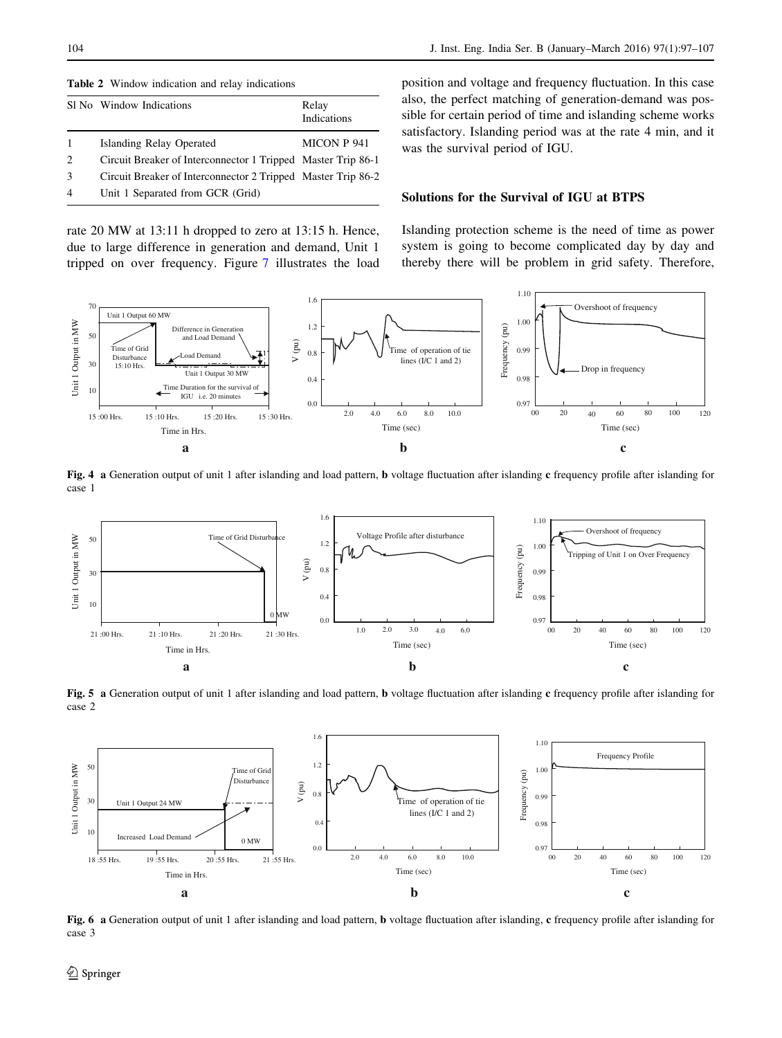<span id="page-7-0"></span>Table 2 Window indication and relay indications

|               | SI No Window Indications                                     | Relay<br>Indications |
|---------------|--------------------------------------------------------------|----------------------|
|               | Islanding Relay Operated                                     | MICON P 941          |
| $\mathcal{L}$ | Circuit Breaker of Interconnector 1 Tripped Master Trip 86-1 |                      |
| $\mathcal{R}$ | Circuit Breaker of Interconnector 2 Tripped Master Trip 86-2 |                      |
|               | Unit 1 Separated from GCR (Grid)                             |                      |

position and voltage and frequency fluctuation. In this case also, the perfect matching of generation-demand was possible for certain period of time and islanding scheme works satisfactory. Islanding period was at the rate 4 min, and it was the survival period of IGU.

#### Solutions for the Survival of IGU at BTPS

rate 20 MW at 13:11 h dropped to zero at 13:15 h. Hence, due to large difference in generation and demand, Unit 1 tripped on over frequency. Figure [7](#page-8-0) illustrates the load Islanding protection scheme is the need of time as power system is going to become complicated day by day and thereby there will be problem in grid safety. Therefore,



Fig. 4 a Generation output of unit 1 after islanding and load pattern, b voltage fluctuation after islanding c frequency profile after islanding for case 1



Fig. 5 a Generation output of unit 1 after islanding and load pattern, **b** voltage fluctuation after islanding c frequency profile after islanding for case 2



Fig. 6 a Generation output of unit 1 after islanding and load pattern, b voltage fluctuation after islanding, c frequency profile after islanding for case 3

<sup>2</sup> Springer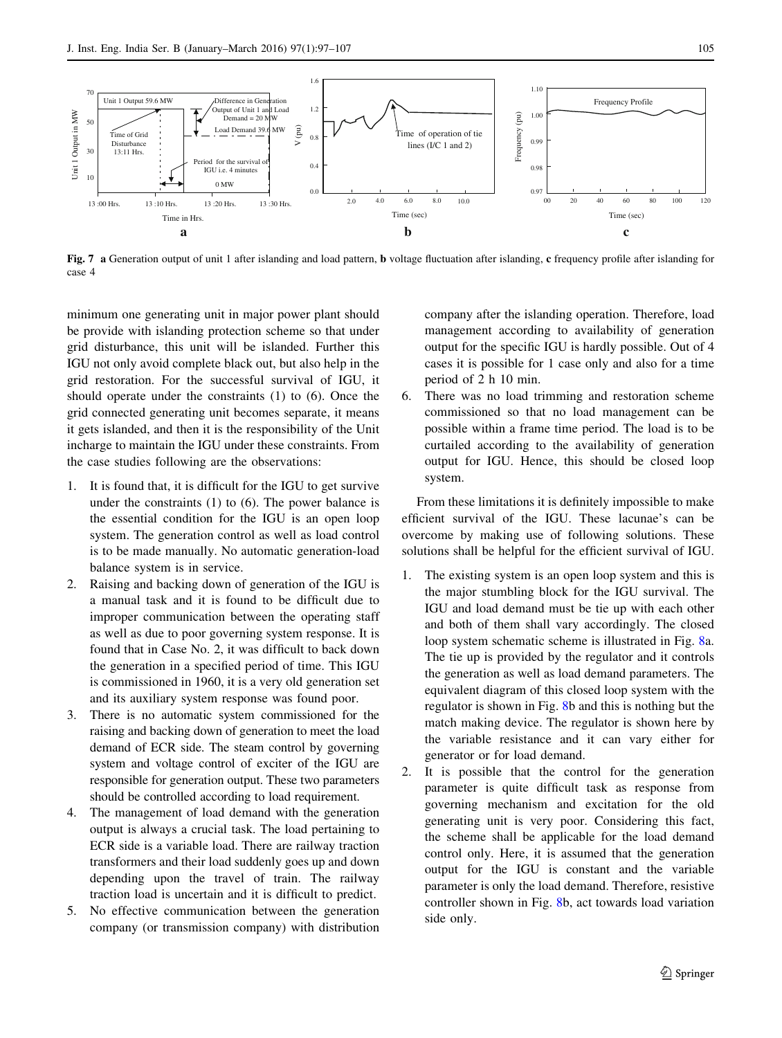<span id="page-8-0"></span>

Fig. 7 a Generation output of unit 1 after islanding and load pattern, b voltage fluctuation after islanding, c frequency profile after islanding for case 4

minimum one generating unit in major power plant should be provide with islanding protection scheme so that under grid disturbance, this unit will be islanded. Further this IGU not only avoid complete black out, but also help in the grid restoration. For the successful survival of IGU, it should operate under the constraints (1) to (6). Once the grid connected generating unit becomes separate, it means it gets islanded, and then it is the responsibility of the Unit incharge to maintain the IGU under these constraints. From the case studies following are the observations:

- 1. It is found that, it is difficult for the IGU to get survive under the constraints (1) to (6). The power balance is the essential condition for the IGU is an open loop system. The generation control as well as load control is to be made manually. No automatic generation-load balance system is in service.
- 2. Raising and backing down of generation of the IGU is a manual task and it is found to be difficult due to improper communication between the operating staff as well as due to poor governing system response. It is found that in Case No. 2, it was difficult to back down the generation in a specified period of time. This IGU is commissioned in 1960, it is a very old generation set and its auxiliary system response was found poor.
- 3. There is no automatic system commissioned for the raising and backing down of generation to meet the load demand of ECR side. The steam control by governing system and voltage control of exciter of the IGU are responsible for generation output. These two parameters should be controlled according to load requirement.
- 4. The management of load demand with the generation output is always a crucial task. The load pertaining to ECR side is a variable load. There are railway traction transformers and their load suddenly goes up and down depending upon the travel of train. The railway traction load is uncertain and it is difficult to predict.
- 5. No effective communication between the generation company (or transmission company) with distribution

company after the islanding operation. Therefore, load management according to availability of generation output for the specific IGU is hardly possible. Out of 4 cases it is possible for 1 case only and also for a time period of 2 h 10 min.

6. There was no load trimming and restoration scheme commissioned so that no load management can be possible within a frame time period. The load is to be curtailed according to the availability of generation output for IGU. Hence, this should be closed loop system.

From these limitations it is definitely impossible to make efficient survival of the IGU. These lacunae's can be overcome by making use of following solutions. These solutions shall be helpful for the efficient survival of IGU.

- 1. The existing system is an open loop system and this is the major stumbling block for the IGU survival. The IGU and load demand must be tie up with each other and both of them shall vary accordingly. The closed loop system schematic scheme is illustrated in Fig. [8](#page-9-0)a. The tie up is provided by the regulator and it controls the generation as well as load demand parameters. The equivalent diagram of this closed loop system with the regulator is shown in Fig. [8](#page-9-0)b and this is nothing but the match making device. The regulator is shown here by the variable resistance and it can vary either for generator or for load demand.
- 2. It is possible that the control for the generation parameter is quite difficult task as response from governing mechanism and excitation for the old generating unit is very poor. Considering this fact, the scheme shall be applicable for the load demand control only. Here, it is assumed that the generation output for the IGU is constant and the variable parameter is only the load demand. Therefore, resistive controller shown in Fig. [8b](#page-9-0), act towards load variation side only.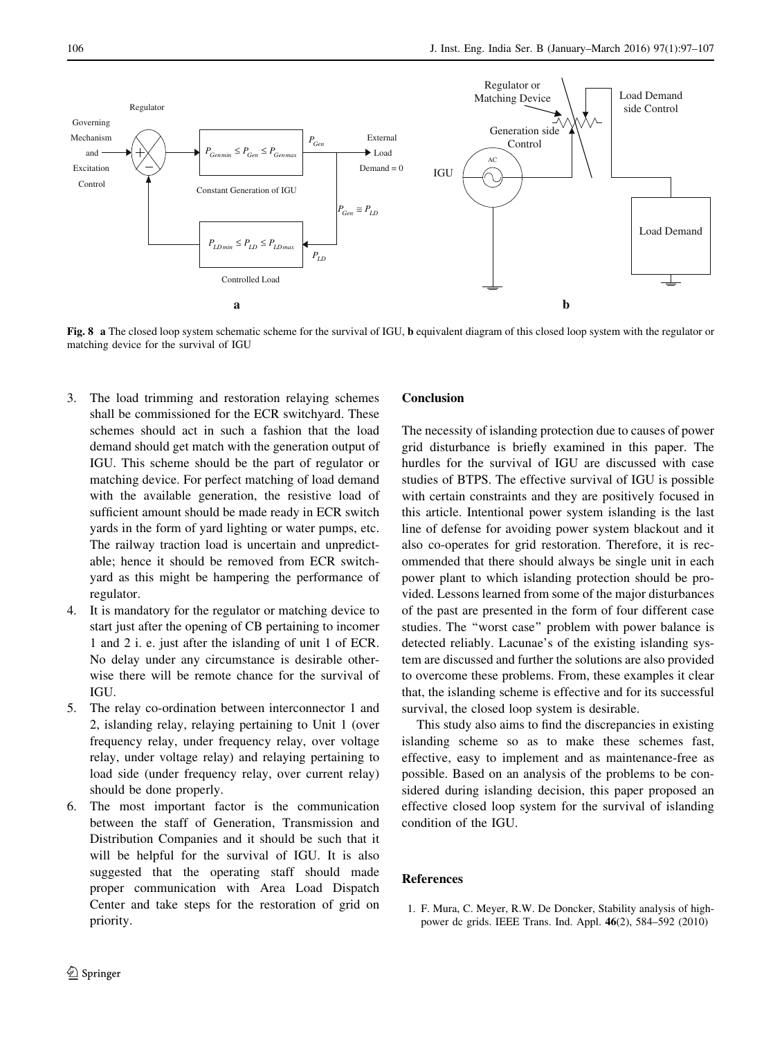<span id="page-9-0"></span>

Fig. 8 a The closed loop system schematic scheme for the survival of IGU, b equivalent diagram of this closed loop system with the regulator or matching device for the survival of IGU

- 3. The load trimming and restoration relaying schemes shall be commissioned for the ECR switchyard. These schemes should act in such a fashion that the load demand should get match with the generation output of IGU. This scheme should be the part of regulator or matching device. For perfect matching of load demand with the available generation, the resistive load of sufficient amount should be made ready in ECR switch yards in the form of yard lighting or water pumps, etc. The railway traction load is uncertain and unpredictable; hence it should be removed from ECR switchyard as this might be hampering the performance of regulator.
- 4. It is mandatory for the regulator or matching device to start just after the opening of CB pertaining to incomer 1 and 2 i. e. just after the islanding of unit 1 of ECR. No delay under any circumstance is desirable otherwise there will be remote chance for the survival of IGU.
- 5. The relay co-ordination between interconnector 1 and 2, islanding relay, relaying pertaining to Unit 1 (over frequency relay, under frequency relay, over voltage relay, under voltage relay) and relaying pertaining to load side (under frequency relay, over current relay) should be done properly.
- 6. The most important factor is the communication between the staff of Generation, Transmission and Distribution Companies and it should be such that it will be helpful for the survival of IGU. It is also suggested that the operating staff should made proper communication with Area Load Dispatch Center and take steps for the restoration of grid on priority.

#### Conclusion

The necessity of islanding protection due to causes of power grid disturbance is briefly examined in this paper. The hurdles for the survival of IGU are discussed with case studies of BTPS. The effective survival of IGU is possible with certain constraints and they are positively focused in this article. Intentional power system islanding is the last line of defense for avoiding power system blackout and it also co-operates for grid restoration. Therefore, it is recommended that there should always be single unit in each power plant to which islanding protection should be provided. Lessons learned from some of the major disturbances of the past are presented in the form of four different case studies. The ''worst case'' problem with power balance is detected reliably. Lacunae's of the existing islanding system are discussed and further the solutions are also provided to overcome these problems. From, these examples it clear that, the islanding scheme is effective and for its successful survival, the closed loop system is desirable.

This study also aims to find the discrepancies in existing islanding scheme so as to make these schemes fast, effective, easy to implement and as maintenance-free as possible. Based on an analysis of the problems to be considered during islanding decision, this paper proposed an effective closed loop system for the survival of islanding condition of the IGU.

## References

1. F. Mura, C. Meyer, R.W. De Doncker, Stability analysis of highpower dc grids. IEEE Trans. Ind. Appl. 46(2), 584–592 (2010)